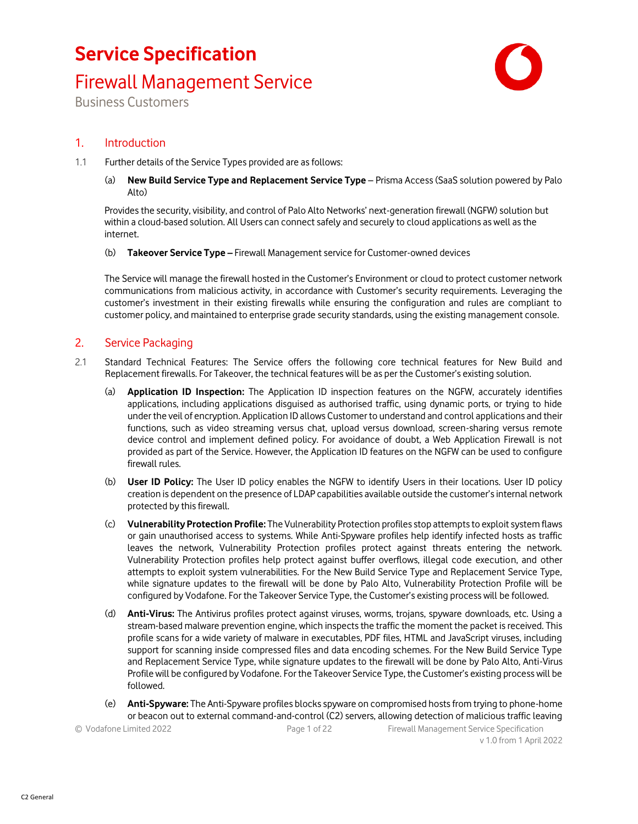### Firewall Management Service



Business Customers

### 1. Introduction

- 1.1 Further details of the Service Types provided are as follows:
	- (a) **New Build Service Type and Replacement Service Type** Prisma Access (SaaS solution powered by Palo Alto)

Provides the security, visibility, and control of Palo Alto Networks' next-generation firewall (NGFW) solution but within a cloud-based solution. All Users can connect safely and securely to cloud applications as well as the internet.

(b) **Takeover Service Type –** Firewall Management service for Customer-owned devices

The Service will manage the firewall hosted in the Customer's Environment or cloud to protect customer network communications from malicious activity, in accordance with Customer's security requirements. Leveraging the customer's investment in their existing firewalls while ensuring the configuration and rules are compliant to customer policy, and maintained to enterprise grade security standards, using the existing management console.

### 2. Service Packaging

- 2.1 Standard Technical Features: The Service offers the following core technical features for New Build and Replacement firewalls. For Takeover, the technical features will be as per the Customer's existing solution.
	- (a) **Application ID Inspection:** The Application ID inspection features on the NGFW, accurately identifies applications, including applications disguised as authorised traffic, using dynamic ports, or trying to hide under the veil of encryption. Application ID allows Customer to understand and control applications and their functions, such as video streaming versus chat, upload versus download, screen-sharing versus remote device control and implement defined policy. For avoidance of doubt, a Web Application Firewall is not provided as part of the Service. However, the Application ID features on the NGFW can be used to configure firewall rules.
	- (b) **User ID Policy:** The User ID policy enables the NGFW to identify Users in their locations. User ID policy creation is dependent on the presence of LDAP capabilities available outside the customer's internal network protected by this firewall.
	- (c) **Vulnerability Protection Profile:** The Vulnerability Protection profiles stop attempts to exploit system flaws or gain unauthorised access to systems. While Anti-Spyware profiles help identify infected hosts as traffic leaves the network, Vulnerability Protection profiles protect against threats entering the network. Vulnerability Protection profiles help protect against buffer overflows, illegal code execution, and other attempts to exploit system vulnerabilities. For the New Build Service Type and Replacement Service Type, while signature updates to the firewall will be done by Palo Alto, Vulnerability Protection Profile will be configured by Vodafone. For the Takeover Service Type, the Customer's existing process will be followed.
	- (d) **Anti-Virus:** The Antivirus profiles protect against viruses, worms, trojans, spyware downloads, etc. Using a stream-based malware prevention engine, which inspects the traffic the moment the packet is received. This profile scans for a wide variety of malware in executables, PDF files, HTML and JavaScript viruses, including support for scanning inside compressed files and data encoding schemes. For the New Build Service Type and Replacement Service Type, while signature updates to the firewall will be done by Palo Alto, Anti-Virus Profile will be configured by Vodafone. For the Takeover Service Type, the Customer's existing process will be followed.
	- (e) **Anti-Spyware:** The Anti-Spyware profiles blocks spyware on compromised hosts from trying to phone-home or beacon out to external command-and-control (C2) servers, allowing detection of malicious traffic leaving

| © Vodafone Limited 2022 | Page 1 of 22 | Firewall Management Service Specification |
|-------------------------|--------------|-------------------------------------------|
|                         |              | v 1.0 from 1 April 2022                   |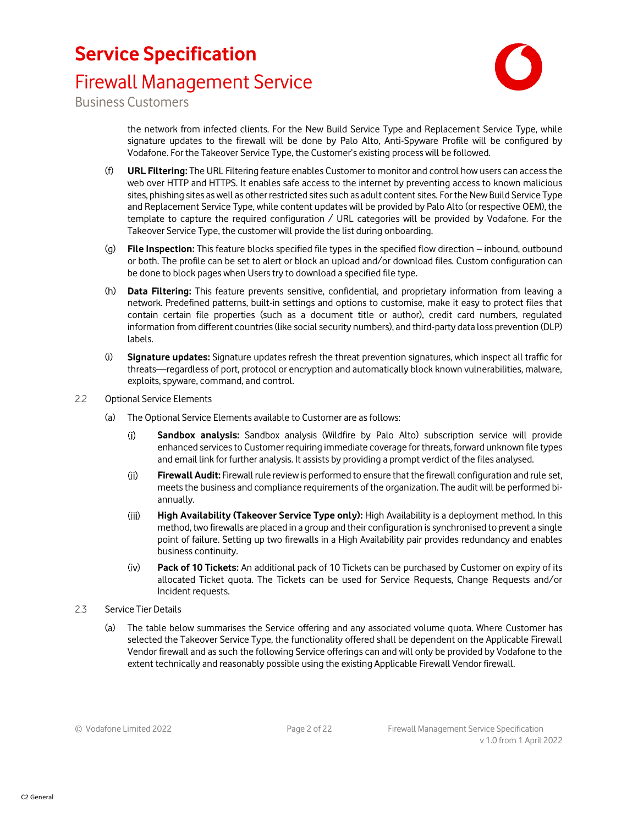### Firewall Management Service



Business Customers

the network from infected clients. For the New Build Service Type and Replacement Service Type, while signature updates to the firewall will be done by Palo Alto, Anti-Spyware Profile will be configured by Vodafone. For the Takeover Service Type, the Customer's existing process will be followed.

- (f) **URL Filtering:** The URL Filtering feature enables Customer to monitor and control how users can access the web over HTTP and HTTPS. It enables safe access to the internet by preventing access to known malicious sites, phishing sites as well as other restricted sites such as adult content sites. For the New Build Service Type and Replacement Service Type, while content updates will be provided by Palo Alto (or respective OEM), the template to capture the required configuration / URL categories will be provided by Vodafone. For the Takeover Service Type, the customer will provide the list during onboarding.
- (g) **File Inspection:** This feature blocks specified file types in the specified flow direction inbound, outbound or both. The profile can be set to alert or block an upload and/or download files. Custom configuration can be done to block pages when Users try to download a specified file type.
- (h) **Data Filtering:** This feature prevents sensitive, confidential, and proprietary information from leaving a network. Predefined patterns, built-in settings and options to customise, make it easy to protect files that contain certain file properties (such as a document title or author), credit card numbers, regulated information from different countries (like social security numbers), and third-party data loss prevention (DLP) labels.
- (i) **Signature updates:** Signature updates refresh the threat prevention signatures, which inspect all traffic for threats—regardless of port, protocol or encryption and automatically block known vulnerabilities, malware, exploits, spyware, command, and control.
- 2.2 Optional Service Elements
	- (a) The Optional Service Elements available to Customer are as follows:
		- **Sandbox analysis:** Sandbox analysis (Wildfire by Palo Alto) subscription service will provide  $(i)$ enhanced services to Customer requiring immediate coverage for threats, forward unknown file types and email link for further analysis. It assists by providing a prompt verdict of the files analysed.
		- $(ii)$ **Firewall Audit:** Firewall rule review is performed to ensure that the firewall configuration and rule set, meets the business and compliance requirements of the organization. The audit will be performed biannually.
		- $(iii)$ **High Availability (Takeover Service Type only):** High Availability is a deployment method. In this method, two firewalls are placed in a group and their configuration is synchronised to prevent a single point of failure. Setting up two firewalls in a High Availability pair provides redundancy and enables business continuity.
		- $(iv)$ **Pack of 10 Tickets:** An additional pack of 10 Tickets can be purchased by Customer on expiry of its allocated Ticket quota. The Tickets can be used for Service Requests, Change Requests and/or Incident requests.
- 2.3 Service Tier Details
	- (a) The table below summarises the Service offering and any associated volume quota. Where Customer has selected the Takeover Service Type, the functionality offered shall be dependent on the Applicable Firewall Vendor firewall and as such the following Service offerings can and will only be provided by Vodafone to the extent technically and reasonably possible using the existing Applicable Firewall Vendor firewall.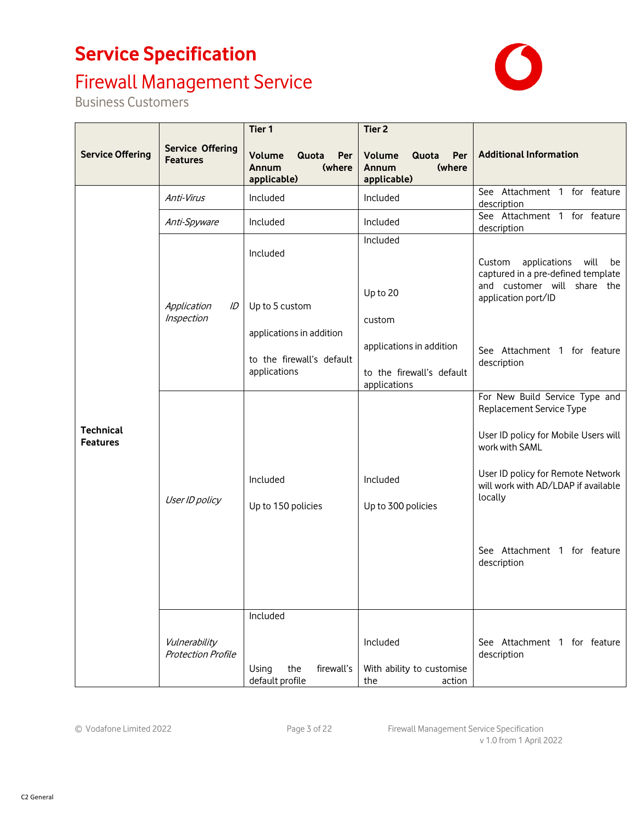# Firewall Management Service

| <b>Service Offering</b>             | <b>Service Offering</b><br><b>Features</b> | Tier <sub>1</sub><br>Volume<br>Quota<br>Per<br>(where<br>Annum<br>applicable) | Tier <sub>2</sub><br>Per<br>Volume<br>Quota<br>(where<br>Annum<br>applicable) | <b>Additional Information</b>                                                                                                                                                                                                                              |
|-------------------------------------|--------------------------------------------|-------------------------------------------------------------------------------|-------------------------------------------------------------------------------|------------------------------------------------------------------------------------------------------------------------------------------------------------------------------------------------------------------------------------------------------------|
|                                     | Anti-Virus                                 | Included                                                                      | Included                                                                      | See Attachment 1 for feature<br>description                                                                                                                                                                                                                |
|                                     | Anti-Spyware                               | Included                                                                      | Included                                                                      | See Attachment 1 for feature<br>description                                                                                                                                                                                                                |
|                                     | Application<br>ID<br>Inspection            | Included<br>Up to 5 custom                                                    | Included<br>Up to 20<br>custom                                                | applications<br>will<br>Custom<br>be<br>captured in a pre-defined template<br>and customer will share the<br>application port/ID                                                                                                                           |
|                                     |                                            | applications in addition<br>to the firewall's default<br>applications         | applications in addition<br>to the firewall's default<br>applications         | See Attachment 1 for feature<br>description                                                                                                                                                                                                                |
| <b>Technical</b><br><b>Features</b> | User ID policy                             | Included<br>Up to 150 policies                                                | Included<br>Up to 300 policies                                                | For New Build Service Type and<br>Replacement Service Type<br>User ID policy for Mobile Users will<br>work with SAML<br>User ID policy for Remote Network<br>will work with AD/LDAP if available<br>locally<br>See Attachment 1 for feature<br>description |
|                                     | Vulnerability<br><b>Protection Profile</b> | Included<br>the<br>firewall's<br>Using<br>default profile                     | Included<br>With ability to customise<br>the<br>action                        | See Attachment 1 for feature<br>description                                                                                                                                                                                                                |

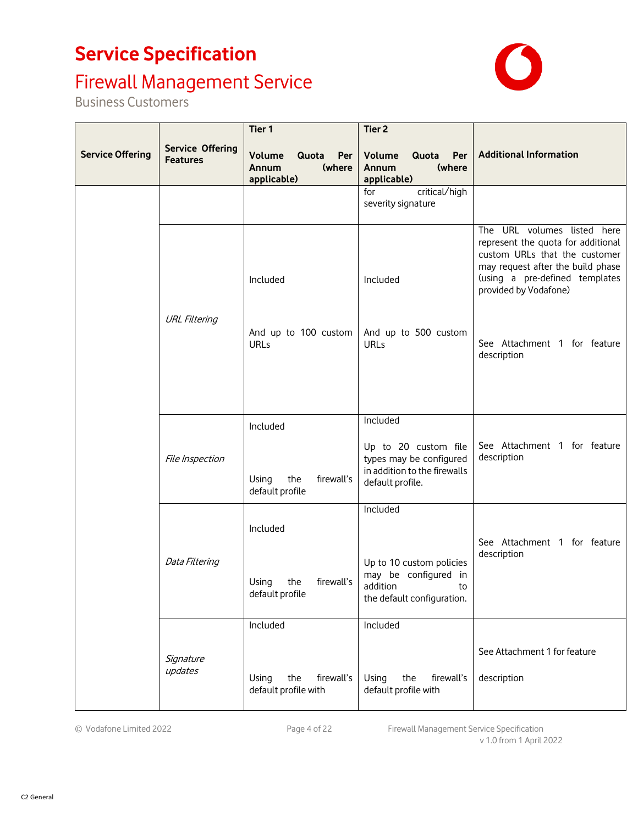# Firewall Management Service

| <b>Service Offering</b> | <b>Service Offering</b><br><b>Features</b> | Tier 1<br>Quota<br>Per<br><b>Volume</b><br>(where<br>Annum<br>applicable) | Tier <sub>2</sub><br>Per<br>Volume<br>Quota<br>(where<br>Annum<br>applicable)                                   | <b>Additional Information</b>                                                                                                                                                                      |
|-------------------------|--------------------------------------------|---------------------------------------------------------------------------|-----------------------------------------------------------------------------------------------------------------|----------------------------------------------------------------------------------------------------------------------------------------------------------------------------------------------------|
|                         |                                            |                                                                           | critical/high<br>for<br>severity signature                                                                      |                                                                                                                                                                                                    |
|                         |                                            | Included                                                                  | Included                                                                                                        | The URL volumes listed here<br>represent the quota for additional<br>custom URLs that the customer<br>may request after the build phase<br>(using a pre-defined templates<br>provided by Vodafone) |
|                         | <b>URL Filtering</b>                       | And up to 100 custom<br>URLs                                              | And up to 500 custom<br>URLs                                                                                    | See Attachment 1 for feature<br>description                                                                                                                                                        |
|                         | File Inspection                            | Included<br>the<br>Using<br>firewall's<br>default profile                 | Included<br>Up to 20 custom file<br>types may be configured<br>in addition to the firewalls<br>default profile. | See Attachment 1 for feature<br>description                                                                                                                                                        |
|                         | Data Filtering                             | Included<br>firewall's<br>Using<br>the<br>default profile                 | Included<br>Up to 10 custom policies<br>may be configured in<br>addition<br>to<br>the default configuration.    | See Attachment 1 for feature<br>description                                                                                                                                                        |
|                         | Signature<br>updates                       | Included<br>the<br>firewall's<br>Using<br>default profile with            | Included<br>the<br>firewall's<br>Using<br>default profile with                                                  | See Attachment 1 for feature<br>description                                                                                                                                                        |

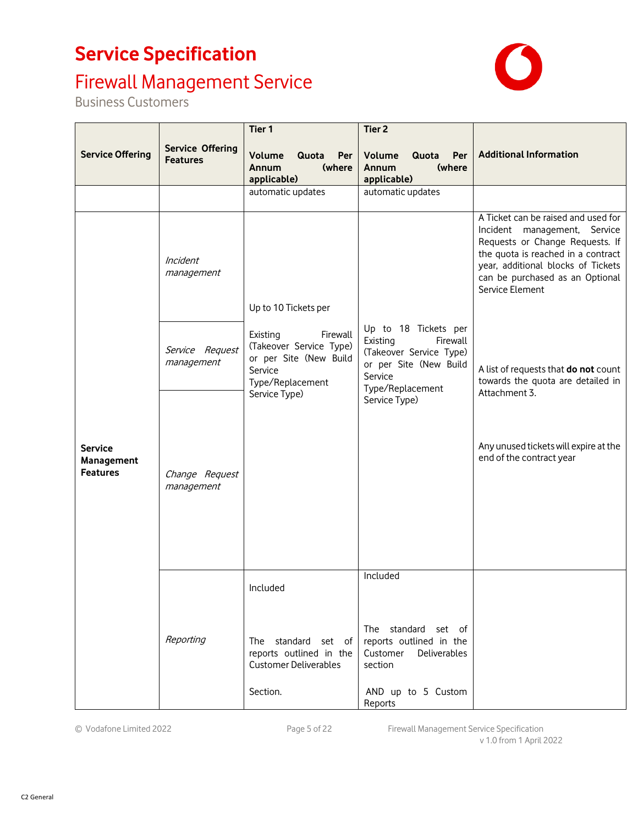### Firewall Management Service

Business Customers



© Vodafone Limited 2022 Page 5 of 22 Firewall Management Service Specification v 1.0 from 1 April 2022

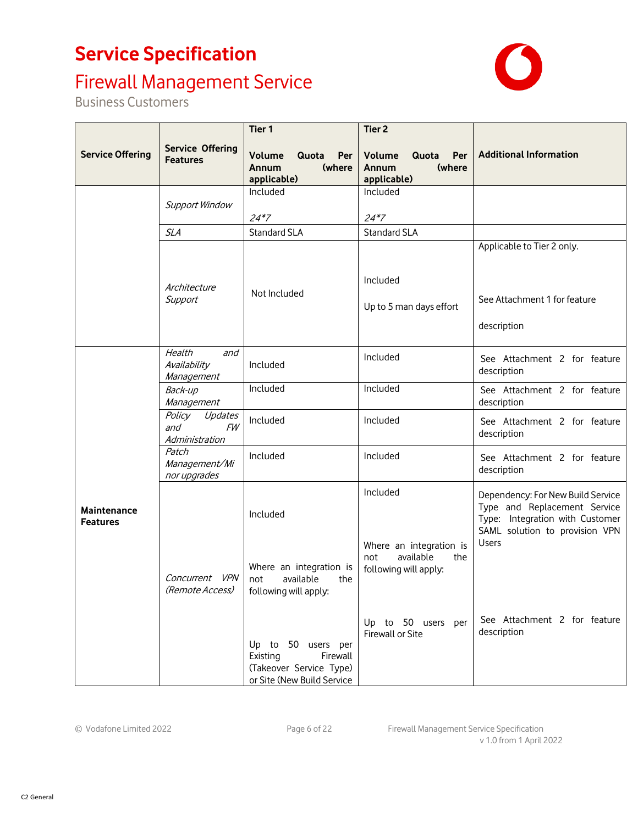# Firewall Management Service



| <b>Service Offering</b>                     | <b>Service Offering</b><br><b>Features</b>              | Tier <sub>1</sub><br>Volume<br>Quota<br>Per<br>(where<br>Annum<br>applicable)                       | Tier <sub>2</sub><br>Per<br>Volume<br>Quota<br>(where<br>Annum<br>applicable) | <b>Additional Information</b>                                                                                                                          |
|---------------------------------------------|---------------------------------------------------------|-----------------------------------------------------------------------------------------------------|-------------------------------------------------------------------------------|--------------------------------------------------------------------------------------------------------------------------------------------------------|
| Included<br><b>Support Window</b><br>$24*7$ |                                                         | Included<br>$24*7$                                                                                  |                                                                               |                                                                                                                                                        |
|                                             | SLA                                                     | <b>Standard SLA</b>                                                                                 | <b>Standard SLA</b>                                                           |                                                                                                                                                        |
|                                             | Architecture<br>Support                                 | Not Included                                                                                        | Included<br>Up to 5 man days effort                                           | Applicable to Tier 2 only.<br>See Attachment 1 for feature<br>description                                                                              |
| Maintenance<br><b>Features</b>              | Health<br>and<br>Availability<br>Management             | Included                                                                                            | Included                                                                      | See Attachment 2 for feature<br>description                                                                                                            |
|                                             | Back-up<br>Management                                   | Included                                                                                            | Included                                                                      | See Attachment 2 for feature<br>description                                                                                                            |
|                                             | Policy<br>Updates<br>and<br><b>FW</b><br>Administration | Included                                                                                            | Included                                                                      | See Attachment 2 for feature<br>description                                                                                                            |
|                                             | Patch<br>Management/Mi<br>nor upgrades                  | Included                                                                                            | Included                                                                      | See Attachment 2 for feature<br>description                                                                                                            |
|                                             |                                                         | Included                                                                                            | Included<br>Where an integration is                                           | Dependency: For New Build Service<br>Type and Replacement Service<br>Type: Integration with Customer<br>SAML solution to provision VPN<br><b>Users</b> |
|                                             | Concurrent VPN<br>(Remote Access)                       | Where an integration is<br>available<br>not<br>the<br>following will apply:                         | available<br>not<br>the<br>following will apply:                              |                                                                                                                                                        |
|                                             |                                                         | Up to 50 users per<br>Existing<br>Firewall<br>(Takeover Service Type)<br>or Site (New Build Service | Up to 50 users per<br>Firewall or Site                                        | See Attachment 2 for feature<br>description                                                                                                            |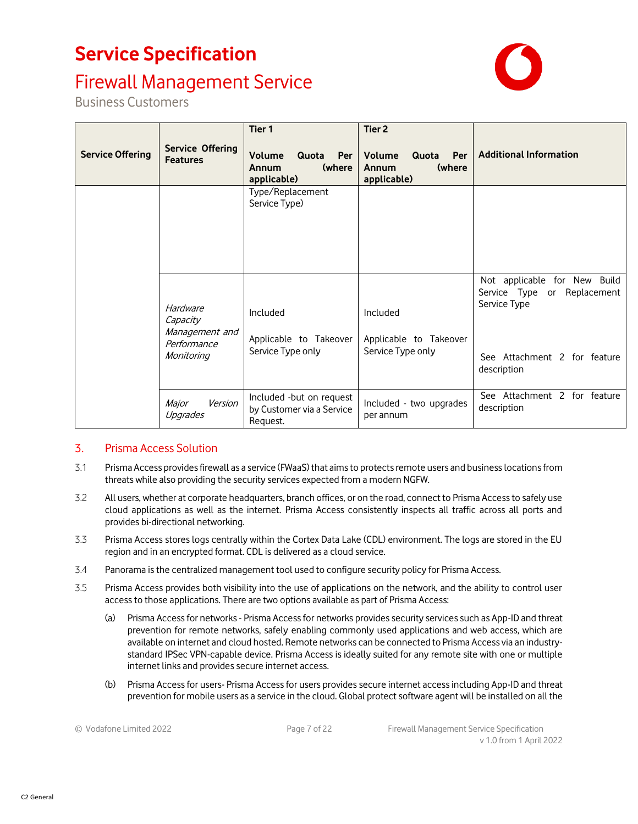### Firewall Management Service



Business Customers

| <b>Service Offering</b> | <b>Service Offering</b><br><b>Features</b> | Tier 1<br>Volume<br>Quota<br>Per<br>(where<br>Annum<br>applicable) | Tier 2<br>Volume<br>Quota<br>Per<br>(where<br>Annum<br>applicable) | <b>Additional Information</b>                                               |
|-------------------------|--------------------------------------------|--------------------------------------------------------------------|--------------------------------------------------------------------|-----------------------------------------------------------------------------|
|                         |                                            | Type/Replacement<br>Service Type)                                  |                                                                    |                                                                             |
|                         | Hardware<br>Capacity<br>Management and     | Included<br>Applicable to Takeover                                 | Included<br>Applicable to Takeover                                 | Not applicable for New Build<br>Service Type or Replacement<br>Service Type |
|                         | Performance<br>Monitoring                  | Service Type only                                                  | Service Type only                                                  | See Attachment 2 for feature<br>description                                 |
|                         | Version<br>Major<br>Upgrades               | Included -but on request<br>by Customer via a Service<br>Request.  | Included - two upgrades<br>per annum                               | See Attachment 2 for feature<br>description                                 |

### 3. Prisma Access Solution

- 3.1 Prisma Access provides firewall as a service (FWaaS) that aims to protects remote users and business locations from threats while also providing the security services expected from a modern NGFW.
- 3.2 All users, whether at corporate headquarters, branch offices, or on the road, connect to Prisma Access to safely use cloud applications as well as the internet. Prisma Access consistently inspects all traffic across all ports and provides bi-directional networking.
- 3.3 Prisma Access stores logs centrally within the Cortex Data Lake (CDL) environment. The logs are stored in the EU region and in an encrypted format. CDL is delivered as a cloud service.
- 3.4 Panorama is the centralized management tool used to configure security policy for Prisma Access.
- 3.5 Prisma Access provides both visibility into the use of applications on the network, and the ability to control user access to those applications. There are two options available as part of Prisma Access:
	- (a) Prisma Access for networks Prisma Access for networks provides security services such as App-ID and threat prevention for remote networks, safely enabling commonly used applications and web access, which are available on internet and cloud hosted. Remote networks can be connected to Prisma Access via an industrystandard IPSec VPN-capable device. Prisma Access is ideally suited for any remote site with one or multiple internet links and provides secure internet access.
	- (b) Prisma Access for users- Prisma Access for users provides secure internet access including App-ID and threat prevention for mobile users as a service in the cloud. Global protect software agent will be installed on all the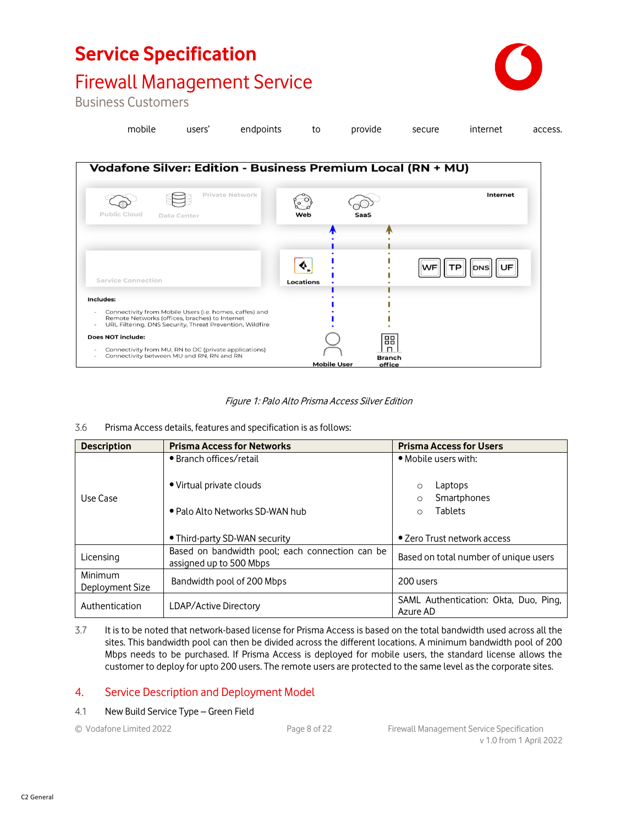

### Firewall Management Service

Business Customers

| mobile | users' endpoints to provide secure internet |  |  | access. |
|--------|---------------------------------------------|--|--|---------|
|        |                                             |  |  |         |



#### Figure 1: Palo Alto Prisma Access Silver Edition

#### 3.6 Prisma Access details, features and specification is as follows:

| <b>Description</b>         | <b>Prisma Access for Networks</b>                                          | <b>Prisma Access for Users</b>                    |  |
|----------------------------|----------------------------------------------------------------------------|---------------------------------------------------|--|
|                            | • Branch offices/retail                                                    | • Mobile users with:                              |  |
|                            | • Virtual private clouds                                                   | Laptops<br>$\circ$                                |  |
| Use Case                   |                                                                            | Smartphones<br>$\Omega$                           |  |
|                            | • Palo Alto Networks SD-WAN hub                                            | <b>Tablets</b><br>$\Omega$                        |  |
|                            | • Third-party SD-WAN security                                              | • Zero Trust network access                       |  |
| Licensing                  | Based on bandwidth pool; each connection can be<br>assigned up to 500 Mbps | Based on total number of unique users             |  |
| Minimum<br>Deployment Size | Bandwidth pool of 200 Mbps                                                 | 200 users                                         |  |
| Authentication             | LDAP/Active Directory                                                      | SAML Authentication: Okta, Duo, Ping,<br>Azure AD |  |

3.7 It is to be noted that network-based license for Prisma Access is based on the total bandwidth used across all the sites. This bandwidth pool can then be divided across the different locations. A minimum bandwidth pool of 200 Mbps needs to be purchased. If Prisma Access is deployed for mobile users, the standard license allows the customer to deploy for upto 200 users. The remote users are protected to the same level as the corporate sites.

### 4. Service Description and Deployment Model

#### 4.1 New Build Service Type – Green Field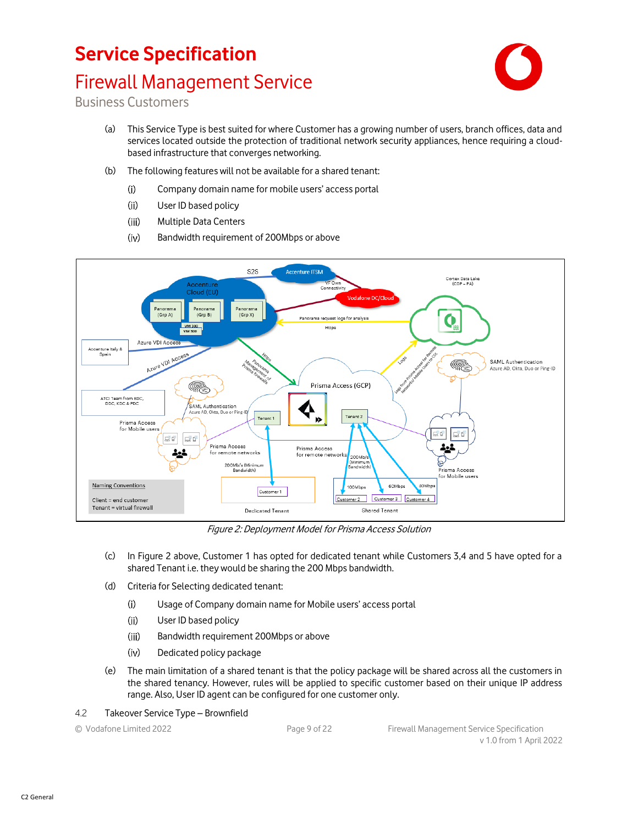### Firewall Management Service



- (a) This Service Type is best suited for where Customer has a growing number of users, branch offices, data and services located outside the protection of traditional network security appliances, hence requiring a cloudbased infrastructure that converges networking.
- (b) The following features will not be available for a shared tenant:
	- $(i)$ Company domain name for mobile users' access portal
	- $(ii)$ User ID based policy
	- $(iii)$ Multiple Data Centers
	- $(iv)$ Bandwidth requirement of 200Mbps or above



Figure 2: Deployment Model for Prisma Access Solution

- (c) In Figure 2 above, Customer 1 has opted for dedicated tenant while Customers 3,4 and 5 have opted for a shared Tenant i.e. they would be sharing the 200 Mbps bandwidth.
- (d) Criteria for Selecting dedicated tenant:
	- $(i)$ Usage of Company domain name for Mobile users' access portal
	- $(ii)$ User ID based policy
	- $(iii)$ Bandwidth requirement 200Mbps or above
	- $(iv)$ Dedicated policy package
- (e) The main limitation of a shared tenant is that the policy package will be shared across all the customers in the shared tenancy. However, rules will be applied to specific customer based on their unique IP address range. Also, User ID agent can be configured for one customer only.
- 4.2 Takeover Service Type Brownfield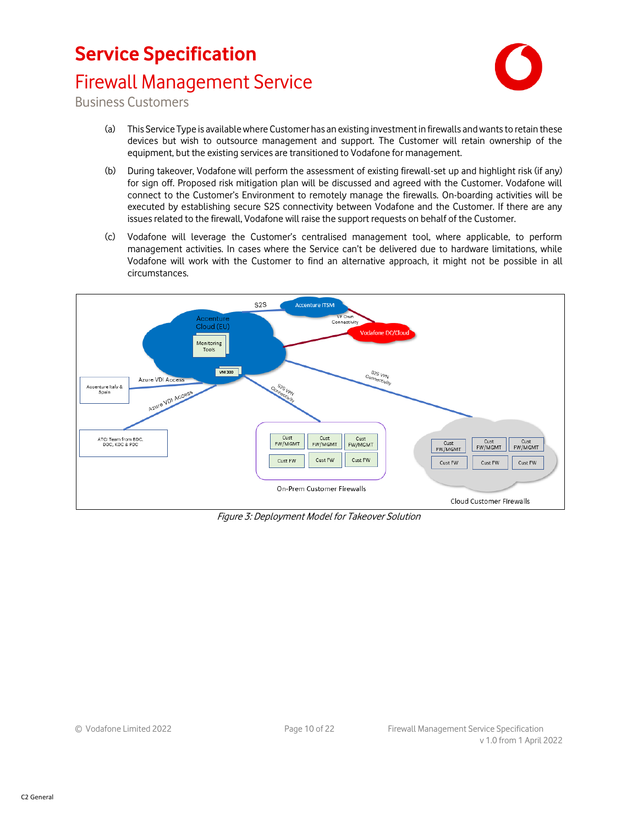### Firewall Management Service



- (a) This Service Type is available where Customer has an existing investment in firewalls and wants to retain these devices but wish to outsource management and support. The Customer will retain ownership of the equipment, but the existing services are transitioned to Vodafone for management.
- (b) During takeover, Vodafone will perform the assessment of existing firewall-set up and highlight risk (if any) for sign off. Proposed risk mitigation plan will be discussed and agreed with the Customer. Vodafone will connect to the Customer's Environment to remotely manage the firewalls. On-boarding activities will be executed by establishing secure S2S connectivity between Vodafone and the Customer. If there are any issues related to the firewall, Vodafone will raise the support requests on behalf of the Customer.
- (c) Vodafone will leverage the Customer's centralised management tool, where applicable, to perform management activities. In cases where the Service can't be delivered due to hardware limitations, while Vodafone will work with the Customer to find an alternative approach, it might not be possible in all circumstances.



Figure 3: Deployment Model for Takeover Solution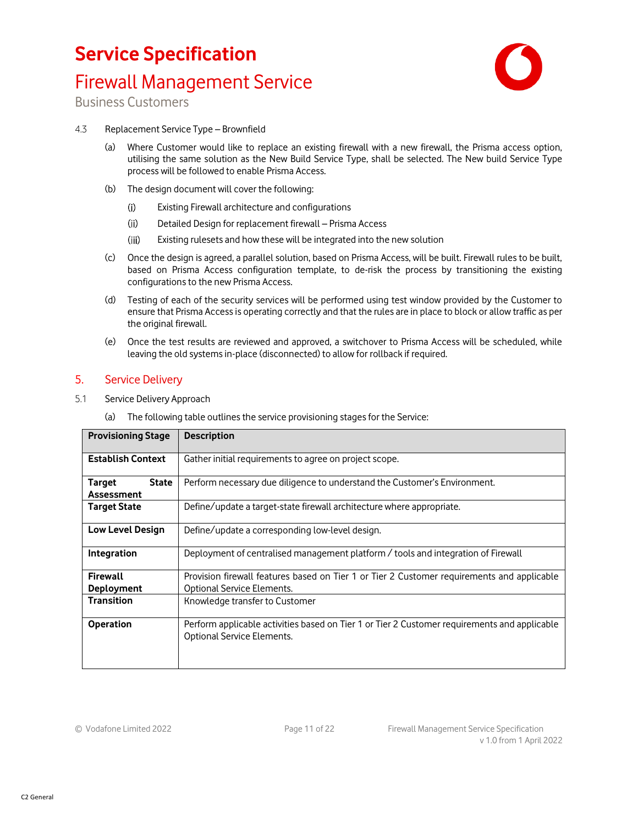### Firewall Management Service



Business Customers

#### 4.3 Replacement Service Type – Brownfield

- (a) Where Customer would like to replace an existing firewall with a new firewall, the Prisma access option, utilising the same solution as the New Build Service Type, shall be selected. The New build Service Type process will be followed to enable Prisma Access.
- (b) The design document will cover the following:
	- $(i)$ Existing Firewall architecture and configurations
	- $(ii)$ Detailed Design for replacement firewall – Prisma Access
	- $(iii)$ Existing rulesets and how these will be integrated into the new solution
- (c) Once the design is agreed, a parallel solution, based on Prisma Access, will be built. Firewall rules to be built, based on Prisma Access configuration template, to de-risk the process by transitioning the existing configurations to the new Prisma Access.
- (d) Testing of each of the security services will be performed using test window provided by the Customer to ensure that Prisma Access is operating correctly and that the rules are in place to block or allow traffic as per the original firewall.
- (e) Once the test results are reviewed and approved, a switchover to Prisma Access will be scheduled, while leaving the old systems in-place (disconnected) to allow for rollback if required.

#### 5. Service Delivery

- 5.1 Service Delivery Approach
	- (a) The following table outlines the service provisioning stages for the Service:

| <b>Provisioning Stage</b>                   | <b>Description</b>                                                                                                         |
|---------------------------------------------|----------------------------------------------------------------------------------------------------------------------------|
| <b>Establish Context</b>                    | Gather initial requirements to agree on project scope.                                                                     |
| <b>State</b><br><b>Target</b><br>Assessment | Perform necessary due diligence to understand the Customer's Environment.                                                  |
| <b>Target State</b>                         | Define/update a target-state firewall architecture where appropriate.                                                      |
| <b>Low Level Design</b>                     | Define/update a corresponding low-level design.                                                                            |
| Integration                                 | Deployment of centralised management platform / tools and integration of Firewall                                          |
| <b>Firewall</b><br><b>Deployment</b>        | Provision firewall features based on Tier 1 or Tier 2 Customer requirements and applicable<br>Optional Service Elements.   |
| <b>Transition</b>                           | Knowledge transfer to Customer                                                                                             |
| <b>Operation</b>                            | Perform applicable activities based on Tier 1 or Tier 2 Customer requirements and applicable<br>Optional Service Elements. |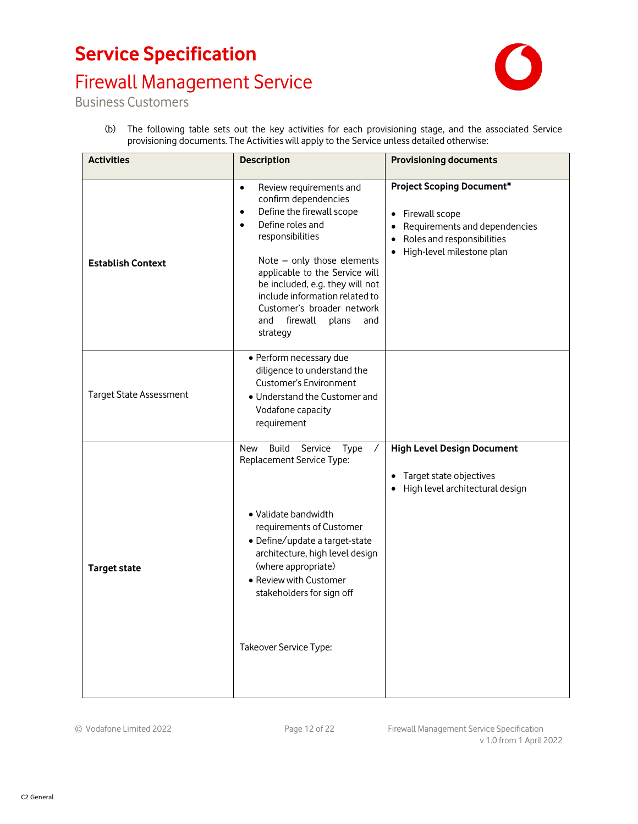# Firewall Management Service



Business Customers

(b) The following table sets out the key activities for each provisioning stage, and the associated Service provisioning documents. The Activities will apply to the Service unless detailed otherwise:

| <b>Activities</b>              | <b>Description</b>                                                                                                                                                                                                                                                                                                                                                            | <b>Provisioning documents</b>                                                                                                                                    |
|--------------------------------|-------------------------------------------------------------------------------------------------------------------------------------------------------------------------------------------------------------------------------------------------------------------------------------------------------------------------------------------------------------------------------|------------------------------------------------------------------------------------------------------------------------------------------------------------------|
| <b>Establish Context</b>       | Review requirements and<br>$\bullet$<br>confirm dependencies<br>Define the firewall scope<br>$\bullet$<br>Define roles and<br>$\bullet$<br>responsibilities<br>Note - only those elements<br>applicable to the Service will<br>be included, e.g. they will not<br>include information related to<br>Customer's broader network<br>firewall<br>and<br>plans<br>and<br>strategy | <b>Project Scoping Document*</b><br>Firewall scope<br>Requirements and dependencies<br>Roles and responsibilities<br>$\bullet$<br>High-level milestone plan<br>٠ |
| <b>Target State Assessment</b> | • Perform necessary due<br>diligence to understand the<br><b>Customer's Environment</b><br>• Understand the Customer and<br>Vodafone capacity<br>requirement                                                                                                                                                                                                                  |                                                                                                                                                                  |
| <b>Target state</b>            | Build<br>Service<br>New<br><b>Type</b><br>Replacement Service Type:<br>• Validate bandwidth<br>requirements of Customer<br>• Define/update a target-state<br>architecture, high level design<br>(where appropriate)<br>• Review with Customer<br>stakeholders for sign off<br>Takeover Service Type:                                                                          | <b>High Level Design Document</b><br>Target state objectives<br>High level architectural design                                                                  |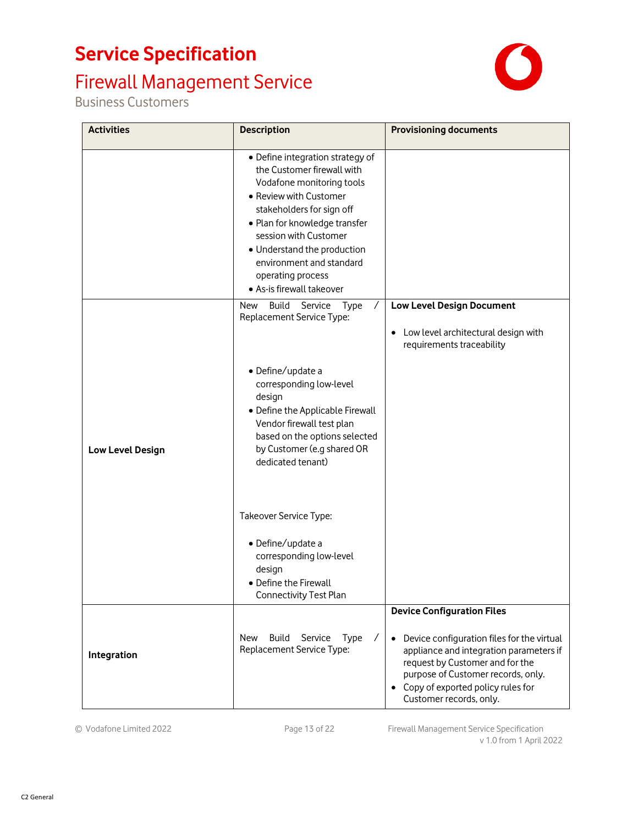# Firewall Management Service

Business Customers



| <b>Activities</b> | <b>Description</b>                                                                                                                                                                                                                                                                                                        | <b>Provisioning documents</b>                                                                                                                                                                                                                 |
|-------------------|---------------------------------------------------------------------------------------------------------------------------------------------------------------------------------------------------------------------------------------------------------------------------------------------------------------------------|-----------------------------------------------------------------------------------------------------------------------------------------------------------------------------------------------------------------------------------------------|
|                   | · Define integration strategy of<br>the Customer firewall with<br>Vodafone monitoring tools<br>• Review with Customer<br>stakeholders for sign off<br>• Plan for knowledge transfer<br>session with Customer<br>• Understand the production<br>environment and standard<br>operating process<br>• As-is firewall takeover |                                                                                                                                                                                                                                               |
|                   | Build<br>Service Type<br>New<br>$\sqrt{2}$<br>Replacement Service Type:                                                                                                                                                                                                                                                   | <b>Low Level Design Document</b>                                                                                                                                                                                                              |
|                   |                                                                                                                                                                                                                                                                                                                           | Low level architectural design with<br>requirements traceability                                                                                                                                                                              |
| Low Level Design  | · Define/update a<br>corresponding low-level<br>design<br>• Define the Applicable Firewall<br>Vendor firewall test plan<br>based on the options selected<br>by Customer (e.g shared OR<br>dedicated tenant)                                                                                                               |                                                                                                                                                                                                                                               |
|                   | Takeover Service Type:                                                                                                                                                                                                                                                                                                    |                                                                                                                                                                                                                                               |
|                   | · Define/update a<br>corresponding low-level<br>design<br>• Define the Firewall<br><b>Connectivity Test Plan</b>                                                                                                                                                                                                          |                                                                                                                                                                                                                                               |
|                   |                                                                                                                                                                                                                                                                                                                           | <b>Device Configuration Files</b>                                                                                                                                                                                                             |
| Integration       | Build<br>Service<br>New<br>Type<br>$\prime$<br>Replacement Service Type:                                                                                                                                                                                                                                                  | Device configuration files for the virtual<br>$\bullet$<br>appliance and integration parameters if<br>request by Customer and for the<br>purpose of Customer records, only.<br>• Copy of exported policy rules for<br>Customer records, only. |

© Vodafone Limited 2022 Page 13 of 22 Firewall Management Service Specification v 1.0 from 1 April 2022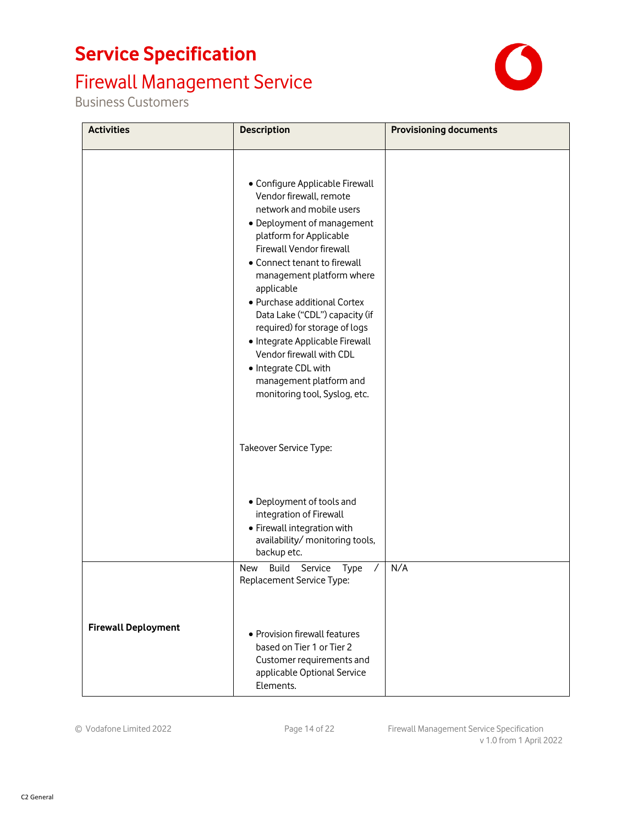# Firewall Management Service

Business Customers



| <b>Activities</b>          | <b>Description</b>                                                                                                                                                                                                                                                                                                                                                                                                                                                                                           | <b>Provisioning documents</b> |
|----------------------------|--------------------------------------------------------------------------------------------------------------------------------------------------------------------------------------------------------------------------------------------------------------------------------------------------------------------------------------------------------------------------------------------------------------------------------------------------------------------------------------------------------------|-------------------------------|
|                            | • Configure Applicable Firewall<br>Vendor firewall, remote<br>network and mobile users<br>• Deployment of management<br>platform for Applicable<br>Firewall Vendor firewall<br>• Connect tenant to firewall<br>management platform where<br>applicable<br>• Purchase additional Cortex<br>Data Lake ("CDL") capacity (if<br>required) for storage of logs<br>• Integrate Applicable Firewall<br>Vendor firewall with CDL<br>• Integrate CDL with<br>management platform and<br>monitoring tool, Syslog, etc. |                               |
|                            | Takeover Service Type:                                                                                                                                                                                                                                                                                                                                                                                                                                                                                       |                               |
|                            | • Deployment of tools and<br>integration of Firewall<br>• Firewall integration with<br>availability/ monitoring tools,<br>backup etc.                                                                                                                                                                                                                                                                                                                                                                        |                               |
|                            | <b>Build</b><br>New<br>Service<br><b>Type</b><br>Replacement Service Type:                                                                                                                                                                                                                                                                                                                                                                                                                                   | N/A                           |
| <b>Firewall Deployment</b> | • Provision firewall features<br>based on Tier 1 or Tier 2<br>Customer requirements and<br>applicable Optional Service<br>Elements.                                                                                                                                                                                                                                                                                                                                                                          |                               |

© Vodafone Limited 2022 Page 14 of 22 Firewall Management Service Specification v 1.0 from 1 April 2022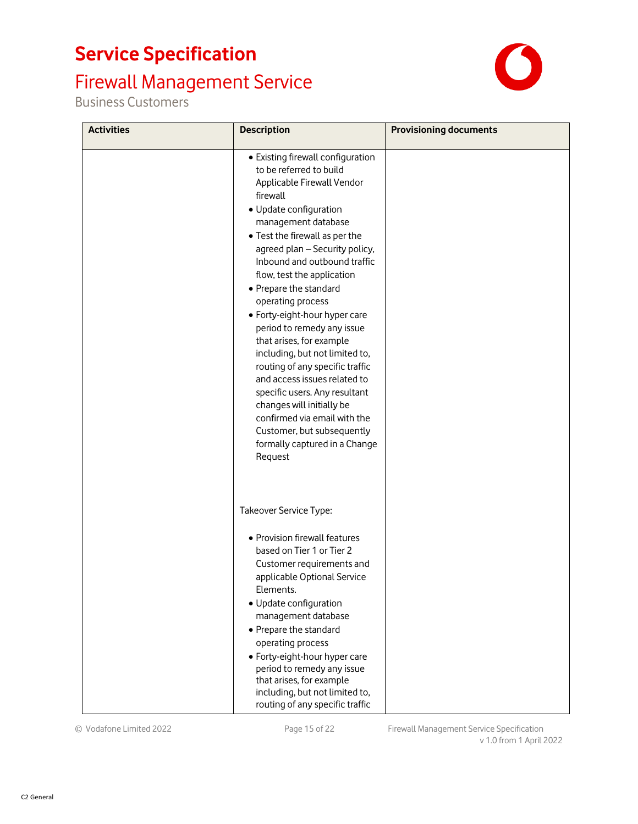# Firewall Management Service

Business Customers



| <b>Activities</b> | <b>Description</b>                                                                                                                                                                                                                                                                                                                                                                                                                                                                                                                                                                                                                                                                                               | <b>Provisioning documents</b> |
|-------------------|------------------------------------------------------------------------------------------------------------------------------------------------------------------------------------------------------------------------------------------------------------------------------------------------------------------------------------------------------------------------------------------------------------------------------------------------------------------------------------------------------------------------------------------------------------------------------------------------------------------------------------------------------------------------------------------------------------------|-------------------------------|
|                   | • Existing firewall configuration<br>to be referred to build<br>Applicable Firewall Vendor<br>firewall<br>• Update configuration<br>management database<br>• Test the firewall as per the<br>agreed plan - Security policy,<br>Inbound and outbound traffic<br>flow, test the application<br>• Prepare the standard<br>operating process<br>• Forty-eight-hour hyper care<br>period to remedy any issue<br>that arises, for example<br>including, but not limited to,<br>routing of any specific traffic<br>and access issues related to<br>specific users. Any resultant<br>changes will initially be<br>confirmed via email with the<br>Customer, but subsequently<br>formally captured in a Change<br>Request |                               |
|                   | Takeover Service Type:<br>• Provision firewall features<br>based on Tier 1 or Tier 2<br>Customer requirements and<br>applicable Optional Service<br>Elements.<br>• Update configuration<br>management database<br>• Prepare the standard<br>operating process<br>• Forty-eight-hour hyper care<br>period to remedy any issue<br>that arises, for example<br>including, but not limited to,<br>routing of any specific traffic                                                                                                                                                                                                                                                                                    |                               |

© Vodafone Limited 2022 Page 15 of 22 Firewall Management Service Specification v 1.0 from 1 April 2022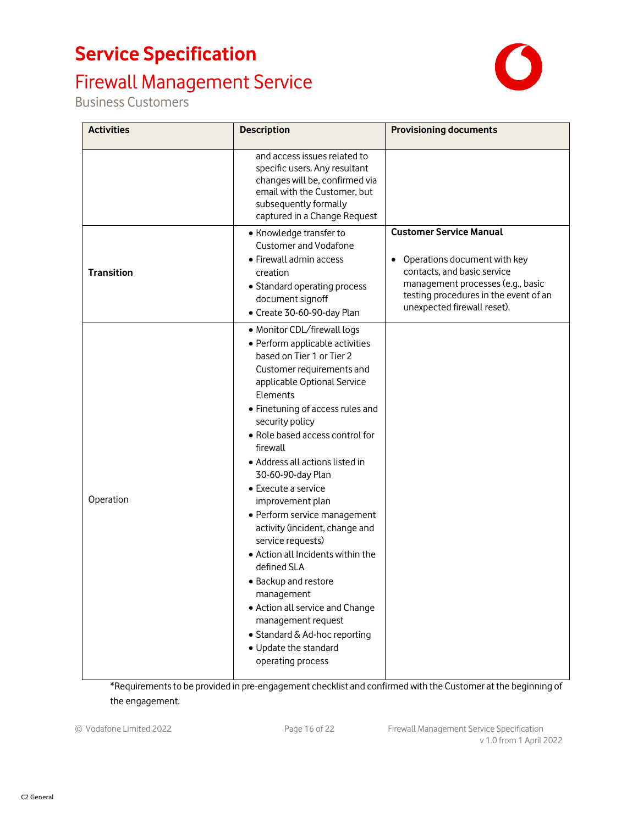### Firewall Management Service

Business Customers



| <b>Activities</b> | <b>Description</b>                                                                                                                                                                                                                                                                                                                                                                                                                                                                                                                                                                                                                                                                                    | <b>Provisioning documents</b>                                                                                                                                                                                           |
|-------------------|-------------------------------------------------------------------------------------------------------------------------------------------------------------------------------------------------------------------------------------------------------------------------------------------------------------------------------------------------------------------------------------------------------------------------------------------------------------------------------------------------------------------------------------------------------------------------------------------------------------------------------------------------------------------------------------------------------|-------------------------------------------------------------------------------------------------------------------------------------------------------------------------------------------------------------------------|
|                   | and access issues related to<br>specific users. Any resultant<br>changes will be, confirmed via<br>email with the Customer, but<br>subsequently formally<br>captured in a Change Request                                                                                                                                                                                                                                                                                                                                                                                                                                                                                                              |                                                                                                                                                                                                                         |
| <b>Transition</b> | • Knowledge transfer to<br><b>Customer and Vodafone</b><br>• Firewall admin access<br>creation<br>• Standard operating process<br>document signoff<br>• Create 30-60-90-day Plan                                                                                                                                                                                                                                                                                                                                                                                                                                                                                                                      | <b>Customer Service Manual</b><br>Operations document with key<br>$\bullet$<br>contacts, and basic service<br>management processes (e.g., basic<br>testing procedures in the event of an<br>unexpected firewall reset). |
| Operation         | • Monitor CDL/firewall logs<br>• Perform applicable activities<br>based on Tier 1 or Tier 2<br>Customer requirements and<br>applicable Optional Service<br>Elements<br>• Finetuning of access rules and<br>security policy<br>• Role based access control for<br>firewall<br>• Address all actions listed in<br>30-60-90-day Plan<br>• Execute a service<br>improvement plan<br>• Perform service management<br>activity (incident, change and<br>service requests)<br>• Action all Incidents within the<br>defined SLA<br>• Backup and restore<br>management<br>• Action all service and Change<br>management request<br>• Standard & Ad-hoc reporting<br>• Update the standard<br>operating process |                                                                                                                                                                                                                         |

\*Requirements to be provided in pre-engagement checklist and confirmed with the Customer at the beginning of the engagement.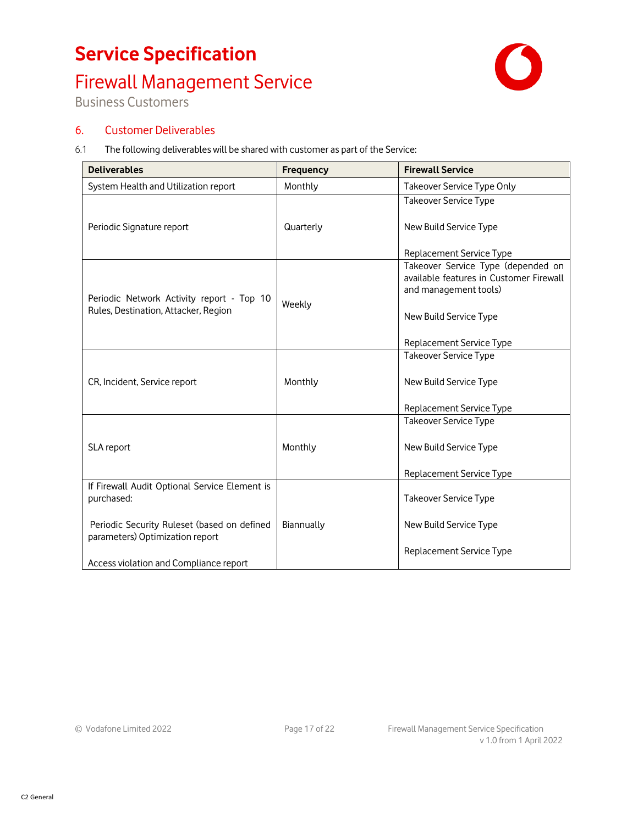# Firewall Management Service



Business Customers

### 6. Customer Deliverables

6.1 The following deliverables will be shared with customer as part of the Service:

| <b>Deliverables</b>                                                               | <b>Frequency</b> | <b>Firewall Service</b>                                                                                |
|-----------------------------------------------------------------------------------|------------------|--------------------------------------------------------------------------------------------------------|
| System Health and Utilization report                                              | Monthly          | Takeover Service Type Only                                                                             |
|                                                                                   |                  | Takeover Service Type                                                                                  |
| Periodic Signature report                                                         | Quarterly        | New Build Service Type                                                                                 |
|                                                                                   |                  | Replacement Service Type                                                                               |
| Periodic Network Activity report - Top 10<br>Rules, Destination, Attacker, Region | Weekly           | Takeover Service Type (depended on<br>available features in Customer Firewall<br>and management tools) |
|                                                                                   |                  | New Build Service Type                                                                                 |
|                                                                                   |                  | Replacement Service Type                                                                               |
|                                                                                   |                  | <b>Takeover Service Type</b>                                                                           |
| CR, Incident, Service report                                                      | Monthly          | New Build Service Type                                                                                 |
|                                                                                   |                  | Replacement Service Type                                                                               |
|                                                                                   |                  | <b>Takeover Service Type</b>                                                                           |
| SLA report                                                                        | Monthly          | New Build Service Type                                                                                 |
|                                                                                   |                  | Replacement Service Type                                                                               |
| If Firewall Audit Optional Service Element is<br>purchased:                       |                  | <b>Takeover Service Type</b>                                                                           |
| Periodic Security Ruleset (based on defined<br>parameters) Optimization report    | Biannually       | New Build Service Type                                                                                 |
| Access violation and Compliance report                                            |                  | Replacement Service Type                                                                               |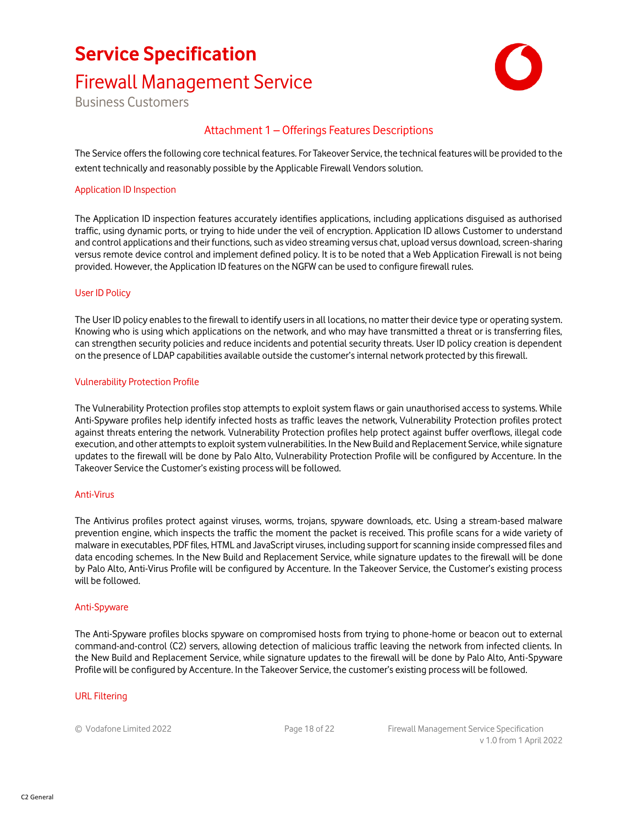### Firewall Management Service



Business Customers

### Attachment 1 – Offerings Features Descriptions

The Service offers the following core technical features. For Takeover Service, the technical features will be provided to the extent technically and reasonably possible by the Applicable Firewall Vendors solution.

#### Application ID Inspection

The Application ID inspection features accurately identifies applications, including applications disguised as authorised traffic, using dynamic ports, or trying to hide under the veil of encryption. Application ID allows Customer to understand and control applications and their functions, such as video streaming versus chat, upload versus download, screen-sharing versus remote device control and implement defined policy. It is to be noted that a Web Application Firewall is not being provided. However, the Application ID features on the NGFW can be used to configure firewall rules.

#### User ID Policy

The User ID policy enables to the firewall to identify users in all locations, no matter their device type or operating system. Knowing who is using which applications on the network, and who may have transmitted a threat or is transferring files, can strengthen security policies and reduce incidents and potential security threats. User ID policy creation is dependent on the presence of LDAP capabilities available outside the customer's internal network protected by this firewall.

#### Vulnerability Protection Profile

The Vulnerability Protection profiles stop attempts to exploit system flaws or gain unauthorised access to systems. While Anti-Spyware profiles help identify infected hosts as traffic leaves the network, Vulnerability Protection profiles protect against threats entering the network. Vulnerability Protection profiles help protect against buffer overflows, illegal code execution, and other attempts to exploit system vulnerabilities. In the New Build and Replacement Service, while signature updates to the firewall will be done by Palo Alto, Vulnerability Protection Profile will be configured by Accenture. In the Takeover Service the Customer's existing process will be followed.

#### Anti-Virus

The Antivirus profiles protect against viruses, worms, trojans, spyware downloads, etc. Using a stream-based malware prevention engine, which inspects the traffic the moment the packet is received. This profile scans for a wide variety of malware in executables, PDF files, HTML and JavaScript viruses, including support for scanning inside compressed files and data encoding schemes. In the New Build and Replacement Service, while signature updates to the firewall will be done by Palo Alto, Anti-Virus Profile will be configured by Accenture. In the Takeover Service, the Customer's existing process will be followed.

#### Anti-Spyware

The Anti-Spyware profiles blocks spyware on compromised hosts from trying to phone-home or beacon out to external command-and-control (C2) servers, allowing detection of malicious traffic leaving the network from infected clients. In the New Build and Replacement Service, while signature updates to the firewall will be done by Palo Alto, Anti-Spyware Profile will be configured by Accenture. In the Takeover Service, the customer's existing process will be followed.

#### URL Filtering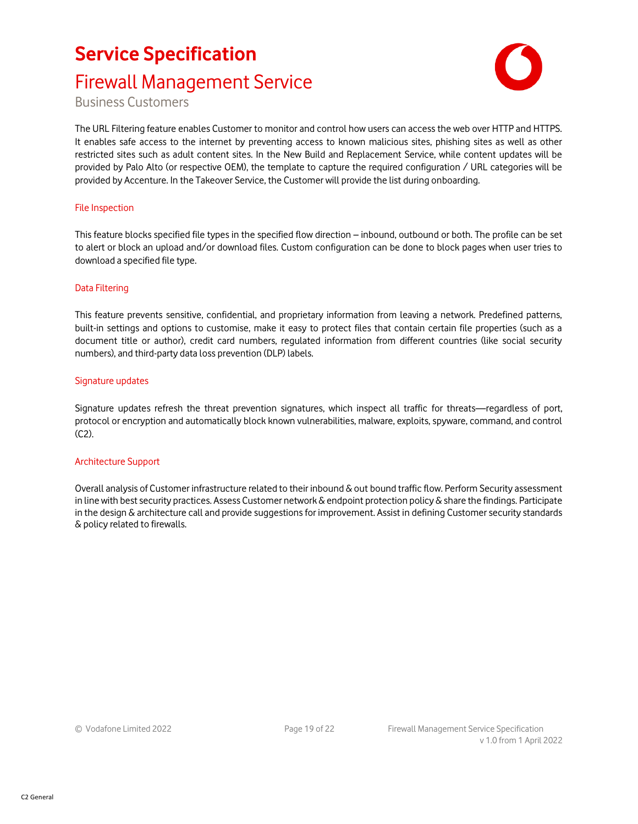# **Service Specification** Firewall Management Service



Business Customers

The URL Filtering feature enables Customer to monitor and control how users can access the web over HTTP and HTTPS. It enables safe access to the internet by preventing access to known malicious sites, phishing sites as well as other restricted sites such as adult content sites. In the New Build and Replacement Service, while content updates will be provided by Palo Alto (or respective OEM), the template to capture the required configuration / URL categories will be provided by Accenture. In the Takeover Service, the Customer will provide the list during onboarding.

#### File Inspection

This feature blocks specified file types in the specified flow direction – inbound, outbound or both. The profile can be set to alert or block an upload and/or download files. Custom configuration can be done to block pages when user tries to download a specified file type.

#### Data Filtering

This feature prevents sensitive, confidential, and proprietary information from leaving a network. Predefined patterns, built-in settings and options to customise, make it easy to protect files that contain certain file properties (such as a document title or author), credit card numbers, regulated information from different countries (like social security numbers), and third-party data loss prevention (DLP) labels.

#### Signature updates

Signature updates refresh the threat prevention signatures, which inspect all traffic for threats—regardless of port, protocol or encryption and automatically block known vulnerabilities, malware, exploits, spyware, command, and control (C2).

#### Architecture Support

Overall analysis of Customer infrastructure related to their inbound & out bound traffic flow. Perform Security assessment in line with best security practices. Assess Customer network  $\&$  endpoint protection policy  $&$  share the findings. Participate in the design & architecture call and provide suggestions for improvement. Assist in defining Customer security standards & policy related to firewalls.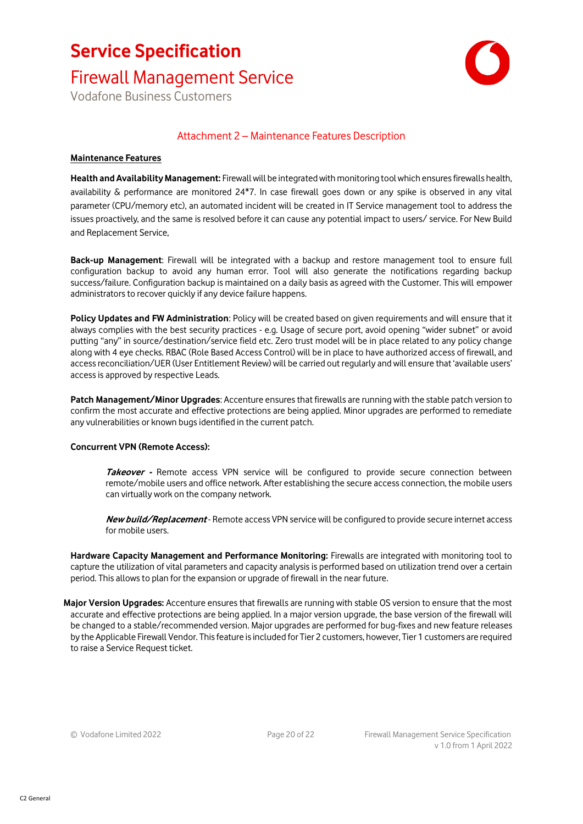### Firewall Management Service

Vodafone Business Customers



### Attachment 2 – Maintenance Features Description

#### **Maintenance Features**

**Health and Availability Management:** Firewall will be integrated with monitoring tool which ensures firewalls health, availability & performance are monitored 24\*7. In case firewall goes down or any spike is observed in any vital parameter (CPU/memory etc), an automated incident will be created in IT Service management tool to address the issues proactively, and the same is resolved before it can cause any potential impact to users/ service. For New Build and Replacement Service,

**Back-up Management**: Firewall will be integrated with a backup and restore management tool to ensure full configuration backup to avoid any human error. Tool will also generate the notifications regarding backup success/failure. Configuration backup is maintained on a daily basis as agreed with the Customer. This will empower administrators to recover quickly if any device failure happens.

**Policy Updates and FW Administration**: Policy will be created based on given requirements and will ensure that it always complies with the best security practices - e.g. Usage of secure port, avoid opening "wider subnet" or avoid putting "any" in source/destination/service field etc. Zero trust model will be in place related to any policy change along with 4 eye checks. RBAC (Role Based Access Control) will be in place to have authorized access of firewall, and access reconciliation/UER (User Entitlement Review) will be carried out regularly and will ensure that 'available users' access is approved by respective Leads.

**Patch Management/Minor Upgrades**: Accenture ensures that firewalls are running with the stable patch version to confirm the most accurate and effective protections are being applied. Minor upgrades are performed to remediate any vulnerabilities or known bugs identified in the current patch.

#### **Concurrent VPN (Remote Access):**

**Takeover -** Remote access VPN service will be configured to provide secure connection between remote/mobile users and office network. After establishing the secure access connection, the mobile users can virtually work on the company network.

**New build/Replacement** - Remote access VPN service will be configured to provide secure internet access for mobile users.

**Hardware Capacity Management and Performance Monitoring:** Firewalls are integrated with monitoring tool to capture the utilization of vital parameters and capacity analysis is performed based on utilization trend over a certain period. This allows to plan for the expansion or upgrade of firewall in the near future.

**Major Version Upgrades:** Accenture ensures that firewalls are running with stable OS version to ensure that the most accurate and effective protections are being applied. In a major version upgrade, the base version of the firewall will be changed to a stable/recommended version. Major upgrades are performed for bug-fixes and new feature releases by the Applicable Firewall Vendor. This feature is included for Tier 2 customers, however, Tier 1 customers are required to raise a Service Request ticket.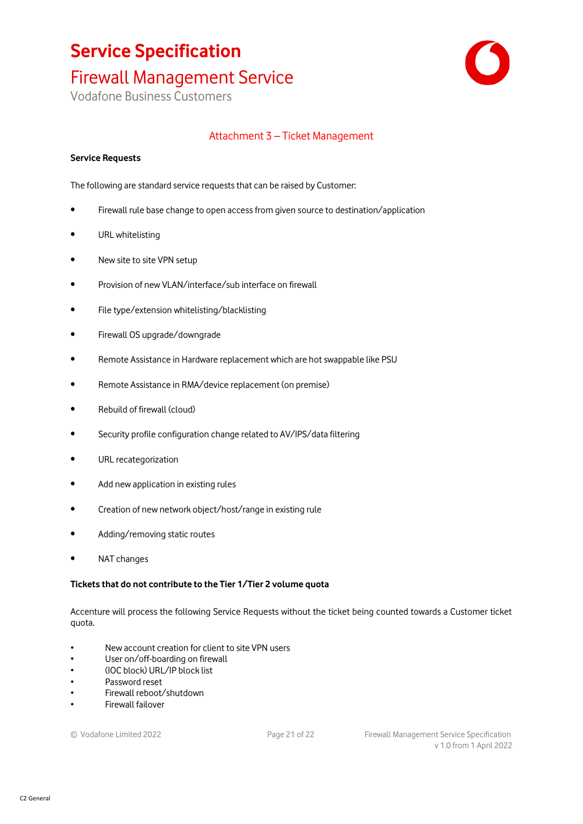### Firewall Management Service

Vodafone Business Customers



### Attachment 3 – Ticket Management

#### **Service Requests**

The following are standard service requests that can be raised by Customer:

- Firewall rule base change to open access from given source to destination/application
- URL whitelisting
- New site to site VPN setup
- Provision of new VLAN/interface/sub interface on firewall
- File type/extension whitelisting/blacklisting
- Firewall OS upgrade/downgrade
- Remote Assistance in Hardware replacement which are hot swappable like PSU
- Remote Assistance in RMA/device replacement (on premise)
- Rebuild of firewall (cloud)
- Security profile configuration change related to AV/IPS/data filtering
- URL recategorization
- Add new application in existing rules
- Creation of new network object/host/range in existing rule
- Adding/removing static routes
- NAT changes

#### **Tickets that do not contribute to the Tier 1/Tier 2 volume quota**

Accenture will process the following Service Requests without the ticket being counted towards a Customer ticket quota.

- New account creation for client to site VPN users
- User on/off-boarding on firewall
- (IOC block) URL/IP block list
- Password reset
- Firewall reboot/shutdown
- Firewall failover